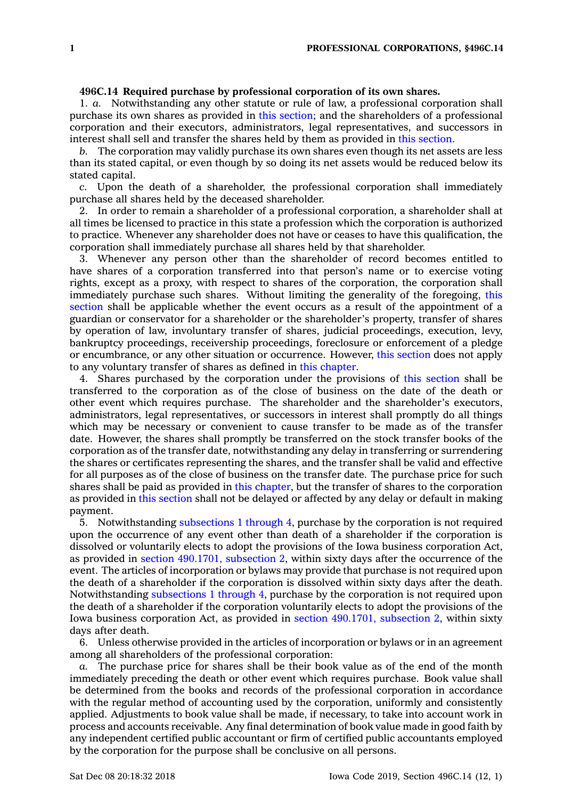## **496C.14 Required purchase by professional corporation of its own shares.**

1. *a.* Notwithstanding any other statute or rule of law, <sup>a</sup> professional corporation shall purchase its own shares as provided in this [section](https://www.legis.iowa.gov/docs/code/496C.14.pdf); and the shareholders of <sup>a</sup> professional corporation and their executors, administrators, legal representatives, and successors in interest shall sell and transfer the shares held by them as provided in this [section](https://www.legis.iowa.gov/docs/code/496C.14.pdf).

*b.* The corporation may validly purchase its own shares even though its net assets are less than its stated capital, or even though by so doing its net assets would be reduced below its stated capital.

*c.* Upon the death of <sup>a</sup> shareholder, the professional corporation shall immediately purchase all shares held by the deceased shareholder.

2. In order to remain <sup>a</sup> shareholder of <sup>a</sup> professional corporation, <sup>a</sup> shareholder shall at all times be licensed to practice in this state <sup>a</sup> profession which the corporation is authorized to practice. Whenever any shareholder does not have or ceases to have this qualification, the corporation shall immediately purchase all shares held by that shareholder.

3. Whenever any person other than the shareholder of record becomes entitled to have shares of <sup>a</sup> corporation transferred into that person's name or to exercise voting rights, except as <sup>a</sup> proxy, with respect to shares of the corporation, the corporation shall immediately purchase such shares. Without limiting the generality of the foregoing, [this](https://www.legis.iowa.gov/docs/code/496C.14.pdf) [section](https://www.legis.iowa.gov/docs/code/496C.14.pdf) shall be applicable whether the event occurs as <sup>a</sup> result of the appointment of <sup>a</sup> guardian or conservator for <sup>a</sup> shareholder or the shareholder's property, transfer of shares by operation of law, involuntary transfer of shares, judicial proceedings, execution, levy, bankruptcy proceedings, receivership proceedings, foreclosure or enforcement of <sup>a</sup> pledge or encumbrance, or any other situation or occurrence. However, this [section](https://www.legis.iowa.gov/docs/code/496C.14.pdf) does not apply to any voluntary transfer of shares as defined in this [chapter](https://www.legis.iowa.gov/docs/code//496C.pdf).

4. Shares purchased by the corporation under the provisions of this [section](https://www.legis.iowa.gov/docs/code/496C.14.pdf) shall be transferred to the corporation as of the close of business on the date of the death or other event which requires purchase. The shareholder and the shareholder's executors, administrators, legal representatives, or successors in interest shall promptly do all things which may be necessary or convenient to cause transfer to be made as of the transfer date. However, the shares shall promptly be transferred on the stock transfer books of the corporation as of the transfer date, notwithstanding any delay in transferring or surrendering the shares or certificates representing the shares, and the transfer shall be valid and effective for all purposes as of the close of business on the transfer date. The purchase price for such shares shall be paid as provided in this [chapter](https://www.legis.iowa.gov/docs/code//496C.pdf), but the transfer of shares to the corporation as provided in this [section](https://www.legis.iowa.gov/docs/code/496C.14.pdf) shall not be delayed or affected by any delay or default in making payment.

5. Notwithstanding [subsections](https://www.legis.iowa.gov/docs/code/496C.14.pdf) 1 through 4, purchase by the corporation is not required upon the occurrence of any event other than death of <sup>a</sup> shareholder if the corporation is dissolved or voluntarily elects to adopt the provisions of the Iowa business corporation Act, as provided in section [490.1701,](https://www.legis.iowa.gov/docs/code/490.1701.pdf) subsection 2, within sixty days after the occurrence of the event. The articles of incorporation or bylaws may provide that purchase is not required upon the death of <sup>a</sup> shareholder if the corporation is dissolved within sixty days after the death. Notwithstanding [subsections](https://www.legis.iowa.gov/docs/code/496C.14.pdf) 1 through 4, purchase by the corporation is not required upon the death of <sup>a</sup> shareholder if the corporation voluntarily elects to adopt the provisions of the Iowa business corporation Act, as provided in section [490.1701,](https://www.legis.iowa.gov/docs/code/490.1701.pdf) subsection 2, within sixty days after death.

6. Unless otherwise provided in the articles of incorporation or bylaws or in an agreement among all shareholders of the professional corporation:

*a.* The purchase price for shares shall be their book value as of the end of the month immediately preceding the death or other event which requires purchase. Book value shall be determined from the books and records of the professional corporation in accordance with the regular method of accounting used by the corporation, uniformly and consistently applied. Adjustments to book value shall be made, if necessary, to take into account work in process and accounts receivable. Any final determination of book value made in good faith by any independent certified public accountant or firm of certified public accountants employed by the corporation for the purpose shall be conclusive on all persons.